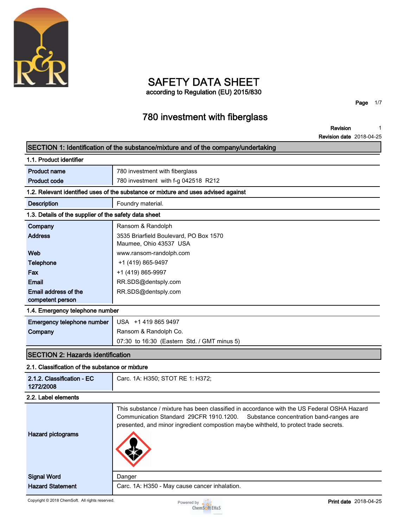

# **SAFETY DATA SHEET**

**according to Regulation (EU) 2015/830**

**Page 1/7**

### **780 investment with fiberglass**

**Revision 1**

**Revision date 2018-04-25**

|                                                       | SECTION 1: Identification of the substance/mixture and of the company/undertaking                                                                                                                                                                                        |
|-------------------------------------------------------|--------------------------------------------------------------------------------------------------------------------------------------------------------------------------------------------------------------------------------------------------------------------------|
| 1.1. Product identifier                               |                                                                                                                                                                                                                                                                          |
| <b>Product name</b>                                   | 780 investment with fiberglass                                                                                                                                                                                                                                           |
| <b>Product code</b>                                   | 780 investment with f-g 042518 R212                                                                                                                                                                                                                                      |
|                                                       | 1.2. Relevant identified uses of the substance or mixture and uses advised against                                                                                                                                                                                       |
| <b>Description</b>                                    | Foundry material.                                                                                                                                                                                                                                                        |
| 1.3. Details of the supplier of the safety data sheet |                                                                                                                                                                                                                                                                          |
| Company                                               | Ransom & Randolph                                                                                                                                                                                                                                                        |
| <b>Address</b>                                        | 3535 Briarfield Boulevard, PO Box 1570<br>Maumee, Ohio 43537 USA                                                                                                                                                                                                         |
| Web                                                   | www.ransom-randolph.com                                                                                                                                                                                                                                                  |
| <b>Telephone</b>                                      | +1 (419) 865-9497                                                                                                                                                                                                                                                        |
| Fax                                                   | +1 (419) 865-9997                                                                                                                                                                                                                                                        |
| <b>Email</b>                                          | RR.SDS@dentsply.com                                                                                                                                                                                                                                                      |
| Email address of the                                  | RR.SDS@dentsply.com                                                                                                                                                                                                                                                      |
| competent person                                      |                                                                                                                                                                                                                                                                          |
| 1.4. Emergency telephone number                       |                                                                                                                                                                                                                                                                          |
| Emergency telephone number                            | USA +1 419 865 9497                                                                                                                                                                                                                                                      |
| Company                                               | Ransom & Randolph Co.                                                                                                                                                                                                                                                    |
|                                                       | 07:30 to 16:30 (Eastern Std. / GMT minus 5)                                                                                                                                                                                                                              |
| <b>SECTION 2: Hazards identification</b>              |                                                                                                                                                                                                                                                                          |
| 2.1. Classification of the substance or mixture       |                                                                                                                                                                                                                                                                          |
| 2.1.2. Classification - EC<br>1272/2008               | Carc. 1A: H350; STOT RE 1: H372;                                                                                                                                                                                                                                         |
| 2.2. Label elements                                   |                                                                                                                                                                                                                                                                          |
| <b>Hazard pictograms</b>                              | This substance / mixture has been classified in accordance with the US Federal OSHA Hazard<br>Communication Standard 29CFR 1910.1200.<br>Substance concentration band-ranges are<br>presented, and minor ingredient compostion maybe wihtheld, to protect trade secrets. |
| <b>Signal Word</b>                                    | Danger                                                                                                                                                                                                                                                                   |
| <b>Hazard Statement</b>                               | Carc. 1A: H350 - May cause cancer inhalation.                                                                                                                                                                                                                            |
| Copyright © 2018 ChemSoft. All rights reserved.       | <b>Print date</b> 2018-04-25<br>Powered by $\bullet$ $\bullet$<br><b>ChemSoft EH&amp;S</b>                                                                                                                                                                               |

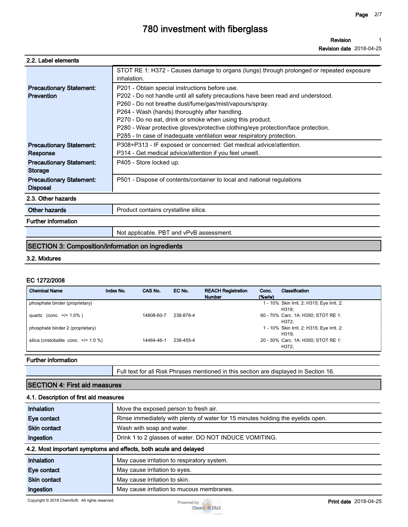**Revision date 2018-04-25**

| 2.2. Label elements |
|---------------------|
|---------------------|

|                                                          | STOT RE 1: H372 - Causes damage to organs (lungs) through prolonged or repeated exposure<br>inhalation.                                                                                                                                                                                                                                                                                                                                                                    |  |
|----------------------------------------------------------|----------------------------------------------------------------------------------------------------------------------------------------------------------------------------------------------------------------------------------------------------------------------------------------------------------------------------------------------------------------------------------------------------------------------------------------------------------------------------|--|
| <b>Precautionary Statement:</b><br>Prevention            | P201 - Obtain special instructions before use.<br>P202 - Do not handle until all safety precautions have been read and understood.<br>P260 - Do not breathe dust/fume/gas/mist/vapours/spray.<br>P264 - Wash (hands) thoroughly after handling.<br>P270 - Do no eat, drink or smoke when using this product.<br>P280 - Wear protective gloves/protective clothing/eye protection/face protection.<br>P285 - In case of inadequate ventilation wear respiratory protection. |  |
| <b>Precautionary Statement:</b><br>Response              | P308+P313 - IF exposed or concerned: Get medical advice/attention.<br>P314 - Get medical advice/attention if you feel unwell.                                                                                                                                                                                                                                                                                                                                              |  |
| <b>Precautionary Statement:</b><br><b>Storage</b>        | P405 - Store locked up.                                                                                                                                                                                                                                                                                                                                                                                                                                                    |  |
| <b>Precautionary Statement:</b><br><b>Disposal</b>       | P501 - Dispose of contents/container to local and national regulations                                                                                                                                                                                                                                                                                                                                                                                                     |  |
| 2.3. Other hazards                                       |                                                                                                                                                                                                                                                                                                                                                                                                                                                                            |  |
| Other hazards                                            | Product contains crystalline silica.                                                                                                                                                                                                                                                                                                                                                                                                                                       |  |
| <b>Further information</b>                               |                                                                                                                                                                                                                                                                                                                                                                                                                                                                            |  |
|                                                          | Not applicable. PBT and vPvB assessment.                                                                                                                                                                                                                                                                                                                                                                                                                                   |  |
| <b>SECTION 3: Composition/information on ingredients</b> |                                                                                                                                                                                                                                                                                                                                                                                                                                                                            |  |

#### **3.2. Mixtures**

#### **EC 1272/2008**

| <b>Chemical Name</b>                       | Index No. | CAS No.    | EC No.    | <b>REACH Registration</b><br><b>Number</b> | Conc.<br>$($ %w/w $)$ | Classification                                      |
|--------------------------------------------|-----------|------------|-----------|--------------------------------------------|-----------------------|-----------------------------------------------------|
| phosphate binder (proprietary)             |           |            |           |                                            |                       | 1 - 10% Skin Irrit. 2: H315; Eye Irrit. 2:<br>H319: |
| quartz (conc. $>1.0\%$ )                   |           | 14808-60-7 | 238-878-4 |                                            |                       | 60 - 70% Carc. 1A: H350; STOT RE 1:<br>H372:        |
| phosphate binder 2 (proprietary)           |           |            |           |                                            |                       | 1 - 10% Skin Irrit. 2: H315; Eye Irrit. 2:<br>H319: |
| silica (cristobalite conc. $\ge$ /= 1.0 %) |           | 14464-46-1 | 238-455-4 |                                            |                       | 20 - 30% Carc. 1A: H350; STOT RE 1:<br>H372:        |

#### **Further information**

**Full text for all Risk Phrases mentioned in this section are displayed in Section 16.**

### **SECTION 4: First aid measures**

#### **4.1. Description of first aid measures**

| <b>Inhalation</b>   | Move the exposed person to fresh air.                                           |
|---------------------|---------------------------------------------------------------------------------|
| <b>Eye contact</b>  | Rinse immediately with plenty of water for 15 minutes holding the eyelids open. |
| <b>Skin contact</b> | Wash with soap and water.                                                       |
| Ingestion           | Drink 1 to 2 glasses of water. DO NOT INDUCE VOMITING.                          |

#### **4.2. Most important symptoms and effects, both acute and delayed**

| Inhalation          | May cause irritation to respiratory system. |
|---------------------|---------------------------------------------|
| <b>Eve contact</b>  | May cause irritation to eyes.               |
| <b>Skin contact</b> | May cause irritation to skin.               |
| Ingestion           | May cause irritation to mucous membranes.   |

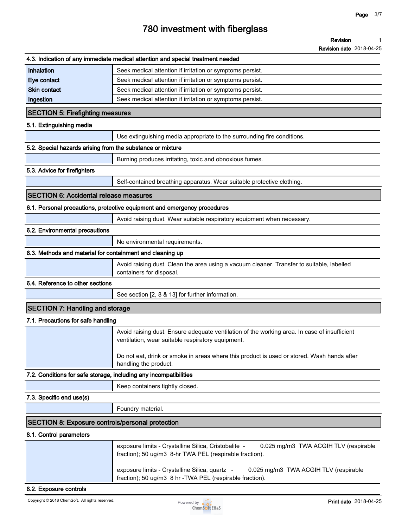**Revision date 2018-04-25**

|                                                                   | 4.3. Indication of any immediate medical attention and special treatment needed                                                                          |
|-------------------------------------------------------------------|----------------------------------------------------------------------------------------------------------------------------------------------------------|
| <b>Inhalation</b>                                                 | Seek medical attention if irritation or symptoms persist.                                                                                                |
| Eye contact                                                       | Seek medical attention if irritation or symptoms persist.                                                                                                |
| <b>Skin contact</b>                                               | Seek medical attention if irritation or symptoms persist.                                                                                                |
| Ingestion                                                         | Seek medical attention if irritation or symptoms persist.                                                                                                |
| <b>SECTION 5: Firefighting measures</b>                           |                                                                                                                                                          |
| 5.1. Extinguishing media                                          |                                                                                                                                                          |
|                                                                   | Use extinguishing media appropriate to the surrounding fire conditions.                                                                                  |
| 5.2. Special hazards arising from the substance or mixture        |                                                                                                                                                          |
|                                                                   | Burning produces irritating, toxic and obnoxious fumes.                                                                                                  |
| 5.3. Advice for firefighters                                      |                                                                                                                                                          |
|                                                                   | Self-contained breathing apparatus. Wear suitable protective clothing.                                                                                   |
| <b>SECTION 6: Accidental release measures</b>                     |                                                                                                                                                          |
|                                                                   | 6.1. Personal precautions, protective equipment and emergency procedures                                                                                 |
|                                                                   | Avoid raising dust. Wear suitable respiratory equipment when necessary.                                                                                  |
| 6.2. Environmental precautions                                    |                                                                                                                                                          |
|                                                                   | No environmental requirements.                                                                                                                           |
| 6.3. Methods and material for containment and cleaning up         |                                                                                                                                                          |
|                                                                   | Avoid raising dust. Clean the area using a vacuum cleaner. Transfer to suitable, labelled<br>containers for disposal.                                    |
| 6.4. Reference to other sections                                  |                                                                                                                                                          |
|                                                                   | See section [2, 8 & 13] for further information.                                                                                                         |
| <b>SECTION 7: Handling and storage</b>                            |                                                                                                                                                          |
| 7.1. Precautions for safe handling                                |                                                                                                                                                          |
|                                                                   | Avoid raising dust. Ensure adequate ventilation of the working area. In case of insufficient<br>ventilation, wear suitable respiratory equipment.        |
|                                                                   | Do not eat, drink or smoke in areas where this product is used or stored. Wash hands after<br>handling the product.                                      |
| 7.2. Conditions for safe storage, including any incompatibilities |                                                                                                                                                          |
|                                                                   | Keep containers tightly closed.                                                                                                                          |
| 7.3. Specific end use(s)                                          |                                                                                                                                                          |
|                                                                   | Foundry material.                                                                                                                                        |
| <b>SECTION 8: Exposure controls/personal protection</b>           |                                                                                                                                                          |
| 8.1. Control parameters                                           |                                                                                                                                                          |
|                                                                   | exposure limits - Crystalline Silica, Cristobalite -<br>0.025 mg/m3 TWA ACGIH TLV (respirable<br>fraction); 50 ug/m3 8-hr TWA PEL (respirable fraction). |
|                                                                   | exposure limits - Crystalline Silica, quartz -<br>0.025 mg/m3 TWA ACGIH TLV (respirable<br>fraction); 50 ug/m3 8 hr -TWA PEL (respirable fraction).      |

#### **8.2. Exposure controls**

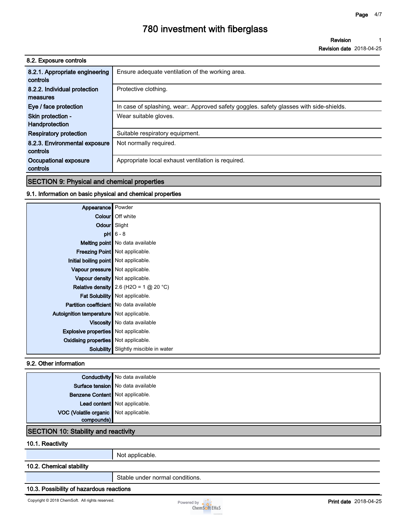**Revision 1**

**Revision date 2018-04-25**

| 8.2. Exposure controls                     |                                                                                       |
|--------------------------------------------|---------------------------------------------------------------------------------------|
| 8.2.1. Appropriate engineering<br>controls | Ensure adequate ventilation of the working area.                                      |
| 8.2.2. Individual protection               | Protective clothing.                                                                  |
| measures                                   |                                                                                       |
| Eye / face protection                      | In case of splashing, wear Approved safety goggles. safety glasses with side-shields. |
| Skin protection -                          | Wear suitable gloves.                                                                 |
| Handprotection                             |                                                                                       |
| <b>Respiratory protection</b>              | Suitable respiratory equipment.                                                       |
| 8.2.3. Environmental exposure              | Not normally required.                                                                |
| controls                                   |                                                                                       |
| Occupational exposure                      | Appropriate local exhaust ventilation is required.                                    |
| controls                                   |                                                                                       |

#### **SECTION 9: Physical and chemical properties**

#### **9.1. Information on basic physical and chemical properties**

| Appearance Powder                           |                                                 |
|---------------------------------------------|-------------------------------------------------|
|                                             | Colour   Off white                              |
| Odour Slight                                |                                                 |
|                                             | $pH$ 6 - 8                                      |
|                                             | Melting point No data available                 |
|                                             | Freezing Point   Not applicable.                |
| Initial boiling point Not applicable.       |                                                 |
| Vapour pressure   Not applicable.           |                                                 |
|                                             | Vapour density Not applicable.                  |
|                                             | <b>Relative density</b> 2.6 (H2O = 1 $@$ 20 °C) |
|                                             | Fat Solubility   Not applicable.                |
| Partition coefficient   No data available   |                                                 |
| Autoignition temperature   Not applicable.  |                                                 |
|                                             | Viscosity   No data available                   |
| <b>Explosive properties</b> Not applicable. |                                                 |
| Oxidising properties Not applicable.        |                                                 |
|                                             | <b>Solubility</b> Slightly miscible in water    |

#### **9.2. Other information**

|                                             | <b>Conductivity</b> No data available |
|---------------------------------------------|---------------------------------------|
|                                             | Surface tension   No data available   |
| Benzene Content Not applicable.             |                                       |
|                                             | Lead content Not applicable.          |
| VOC (Volatile organic Not applicable.       |                                       |
| compounds)                                  |                                       |
| <b>SECTION 10: Stability and reactivity</b> |                                       |

### **10.1. Reactivity**

**Not applicable.**

#### **10.2. Chemical stability**

**Stable under normal conditions.**

#### **10.3. Possibility of hazardous reactions**

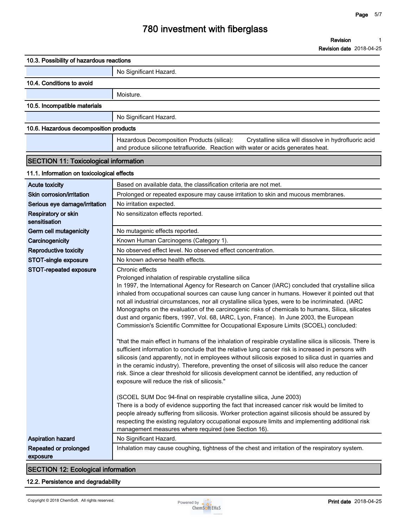**Revision date 2018-04-25**

| 10.3. Possibility of hazardous reactions     |                                                                                                                                                                                                                                                                                                                                                                                                                                                                                                                                                                                                                                                                                                                                                                                                                                                                                                                                                                                                                                                                                                                                                                                                                                                                                                                                                                                                                                            |
|----------------------------------------------|--------------------------------------------------------------------------------------------------------------------------------------------------------------------------------------------------------------------------------------------------------------------------------------------------------------------------------------------------------------------------------------------------------------------------------------------------------------------------------------------------------------------------------------------------------------------------------------------------------------------------------------------------------------------------------------------------------------------------------------------------------------------------------------------------------------------------------------------------------------------------------------------------------------------------------------------------------------------------------------------------------------------------------------------------------------------------------------------------------------------------------------------------------------------------------------------------------------------------------------------------------------------------------------------------------------------------------------------------------------------------------------------------------------------------------------------|
|                                              | No Significant Hazard.                                                                                                                                                                                                                                                                                                                                                                                                                                                                                                                                                                                                                                                                                                                                                                                                                                                                                                                                                                                                                                                                                                                                                                                                                                                                                                                                                                                                                     |
| 10.4. Conditions to avoid                    |                                                                                                                                                                                                                                                                                                                                                                                                                                                                                                                                                                                                                                                                                                                                                                                                                                                                                                                                                                                                                                                                                                                                                                                                                                                                                                                                                                                                                                            |
|                                              | Moisture.                                                                                                                                                                                                                                                                                                                                                                                                                                                                                                                                                                                                                                                                                                                                                                                                                                                                                                                                                                                                                                                                                                                                                                                                                                                                                                                                                                                                                                  |
| 10.5. Incompatible materials                 |                                                                                                                                                                                                                                                                                                                                                                                                                                                                                                                                                                                                                                                                                                                                                                                                                                                                                                                                                                                                                                                                                                                                                                                                                                                                                                                                                                                                                                            |
|                                              | No Significant Hazard.                                                                                                                                                                                                                                                                                                                                                                                                                                                                                                                                                                                                                                                                                                                                                                                                                                                                                                                                                                                                                                                                                                                                                                                                                                                                                                                                                                                                                     |
| 10.6. Hazardous decomposition products       |                                                                                                                                                                                                                                                                                                                                                                                                                                                                                                                                                                                                                                                                                                                                                                                                                                                                                                                                                                                                                                                                                                                                                                                                                                                                                                                                                                                                                                            |
|                                              | Hazardous Decomposition Products (silica):<br>Crystalline silica will dissolve in hydrofluoric acid<br>and produce silicone tetrafluoride. Reaction with water or acids generates heat.                                                                                                                                                                                                                                                                                                                                                                                                                                                                                                                                                                                                                                                                                                                                                                                                                                                                                                                                                                                                                                                                                                                                                                                                                                                    |
| <b>SECTION 11: Toxicological information</b> |                                                                                                                                                                                                                                                                                                                                                                                                                                                                                                                                                                                                                                                                                                                                                                                                                                                                                                                                                                                                                                                                                                                                                                                                                                                                                                                                                                                                                                            |
| 11.1. Information on toxicological effects   |                                                                                                                                                                                                                                                                                                                                                                                                                                                                                                                                                                                                                                                                                                                                                                                                                                                                                                                                                                                                                                                                                                                                                                                                                                                                                                                                                                                                                                            |
| <b>Acute toxicity</b>                        | Based on available data, the classification criteria are not met.                                                                                                                                                                                                                                                                                                                                                                                                                                                                                                                                                                                                                                                                                                                                                                                                                                                                                                                                                                                                                                                                                                                                                                                                                                                                                                                                                                          |
| Skin corrosion/irritation                    | Prolonged or repeated exposure may cause irritation to skin and mucous membranes.                                                                                                                                                                                                                                                                                                                                                                                                                                                                                                                                                                                                                                                                                                                                                                                                                                                                                                                                                                                                                                                                                                                                                                                                                                                                                                                                                          |
| Serious eye damage/irritation                | No irritation expected.                                                                                                                                                                                                                                                                                                                                                                                                                                                                                                                                                                                                                                                                                                                                                                                                                                                                                                                                                                                                                                                                                                                                                                                                                                                                                                                                                                                                                    |
| Respiratory or skin<br>sensitisation         | No sensitizaton effects reported.                                                                                                                                                                                                                                                                                                                                                                                                                                                                                                                                                                                                                                                                                                                                                                                                                                                                                                                                                                                                                                                                                                                                                                                                                                                                                                                                                                                                          |
| Germ cell mutagenicity                       | No mutagenic effects reported.                                                                                                                                                                                                                                                                                                                                                                                                                                                                                                                                                                                                                                                                                                                                                                                                                                                                                                                                                                                                                                                                                                                                                                                                                                                                                                                                                                                                             |
| Carcinogenicity                              | Known Human Carcinogens (Category 1).                                                                                                                                                                                                                                                                                                                                                                                                                                                                                                                                                                                                                                                                                                                                                                                                                                                                                                                                                                                                                                                                                                                                                                                                                                                                                                                                                                                                      |
| <b>Reproductive toxicity</b>                 | No observed effect level. No observed effect concentration.                                                                                                                                                                                                                                                                                                                                                                                                                                                                                                                                                                                                                                                                                                                                                                                                                                                                                                                                                                                                                                                                                                                                                                                                                                                                                                                                                                                |
| STOT-single exposure                         | No known adverse health effects.                                                                                                                                                                                                                                                                                                                                                                                                                                                                                                                                                                                                                                                                                                                                                                                                                                                                                                                                                                                                                                                                                                                                                                                                                                                                                                                                                                                                           |
| STOT-repeated exposure                       | Chronic effects<br>Prolonged inhalation of respirable crystalline silica<br>In 1997, the International Agency for Research on Cancer (IARC) concluded that crystalline silica<br>inhaled from occupational sources can cause lung cancer in humans. However it pointed out that<br>not all industrial circumstances, nor all crystalline silica types, were to be incriminated. (IARC<br>Monographs on the evaluation of the carcinogenic risks of chemicals to humans, Silica, silicates<br>dust and organic fibers, 1997, Vol. 68, IARC, Lyon, France). In June 2003, the European<br>Commission's Scientific Committee for Occupational Exposure Limits (SCOEL) concluded:<br>"that the main effect in humans of the inhalation of respirable crystalline silica is silicosis. There is<br>sufficient information to conclude that the relative lung cancer risk is increased in persons with<br>silicosis (and apparently, not in employees without silicosis exposed to silica dust in quarries and<br>in the ceramic industry). Therefore, preventing the onset of silicosis will also reduce the cancer<br>risk. Since a clear threshold for silicosis development cannot be identified, any reduction of<br>exposure will reduce the risk of silicosis."<br>(SCOEL SUM Doc 94-final on respirable crystalline silica, June 2003)<br>There is a body of evidence supporting the fact that increased cancer risk would be limited to |
|                                              | people already suffering from silicosis. Worker protection against silicosis should be assured by<br>respecting the existing regulatory occupational exposure limits and implementing additional risk<br>management measures where required (see Section 16).                                                                                                                                                                                                                                                                                                                                                                                                                                                                                                                                                                                                                                                                                                                                                                                                                                                                                                                                                                                                                                                                                                                                                                              |
| <b>Aspiration hazard</b>                     | No Significant Hazard.                                                                                                                                                                                                                                                                                                                                                                                                                                                                                                                                                                                                                                                                                                                                                                                                                                                                                                                                                                                                                                                                                                                                                                                                                                                                                                                                                                                                                     |
| Repeated or prolonged<br>exposure            | Inhalation may cause coughing, tightness of the chest and irritation of the respiratory system.                                                                                                                                                                                                                                                                                                                                                                                                                                                                                                                                                                                                                                                                                                                                                                                                                                                                                                                                                                                                                                                                                                                                                                                                                                                                                                                                            |

#### **SECTION 12: Ecological information**

#### **12.2. Persistence and degradability**

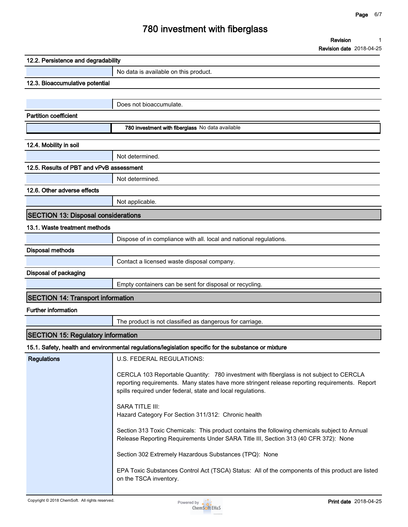**Revision 1**

**Revision date 2018-04-25**

| 12.2. Persistence and degradability        |                                                                                                                                                                                                                                                          |  |  |
|--------------------------------------------|----------------------------------------------------------------------------------------------------------------------------------------------------------------------------------------------------------------------------------------------------------|--|--|
|                                            | No data is available on this product.                                                                                                                                                                                                                    |  |  |
| 12.3. Bioaccumulative potential            |                                                                                                                                                                                                                                                          |  |  |
|                                            |                                                                                                                                                                                                                                                          |  |  |
|                                            | Does not bioaccumulate.                                                                                                                                                                                                                                  |  |  |
| <b>Partition coefficient</b>               |                                                                                                                                                                                                                                                          |  |  |
|                                            | 780 investment with fiberglass No data available                                                                                                                                                                                                         |  |  |
| 12.4. Mobility in soil                     |                                                                                                                                                                                                                                                          |  |  |
|                                            | Not determined.                                                                                                                                                                                                                                          |  |  |
| 12.5. Results of PBT and vPvB assessment   |                                                                                                                                                                                                                                                          |  |  |
|                                            | Not determined.                                                                                                                                                                                                                                          |  |  |
| 12.6. Other adverse effects                |                                                                                                                                                                                                                                                          |  |  |
|                                            | Not applicable.                                                                                                                                                                                                                                          |  |  |
| <b>SECTION 13: Disposal considerations</b> |                                                                                                                                                                                                                                                          |  |  |
| 13.1. Waste treatment methods              |                                                                                                                                                                                                                                                          |  |  |
|                                            | Dispose of in compliance with all. local and national regulations.                                                                                                                                                                                       |  |  |
| <b>Disposal methods</b>                    |                                                                                                                                                                                                                                                          |  |  |
|                                            | Contact a licensed waste disposal company.                                                                                                                                                                                                               |  |  |
| Disposal of packaging                      |                                                                                                                                                                                                                                                          |  |  |
|                                            | Empty containers can be sent for disposal or recycling.                                                                                                                                                                                                  |  |  |
| <b>SECTION 14: Transport information</b>   |                                                                                                                                                                                                                                                          |  |  |
| <b>Further information</b>                 |                                                                                                                                                                                                                                                          |  |  |
|                                            | The product is not classified as dangerous for carriage.                                                                                                                                                                                                 |  |  |
| <b>SECTION 15: Regulatory information</b>  |                                                                                                                                                                                                                                                          |  |  |
|                                            | 15.1. Safety, health and environmental regulations/legislation specific for the substance or mixture                                                                                                                                                     |  |  |
| <b>Regulations</b>                         | U.S. FEDERAL REGULATIONS:                                                                                                                                                                                                                                |  |  |
|                                            | CERCLA 103 Reportable Quantity: 780 investment with fiberglass is not subject to CERCLA<br>reporting requirements. Many states have more stringent release reporting requirements. Report<br>spills required under federal, state and local regulations. |  |  |
|                                            | <b>SARA TITLE III:</b><br>Hazard Category For Section 311/312: Chronic health                                                                                                                                                                            |  |  |
|                                            | Section 313 Toxic Chemicals: This product contains the following chemicals subject to Annual<br>Release Reporting Requirements Under SARA Title III, Section 313 (40 CFR 372): None                                                                      |  |  |
|                                            | Section 302 Extremely Hazardous Substances (TPQ): None                                                                                                                                                                                                   |  |  |
|                                            | EPA Toxic Substances Control Act (TSCA) Status: All of the components of this product are listed                                                                                                                                                         |  |  |